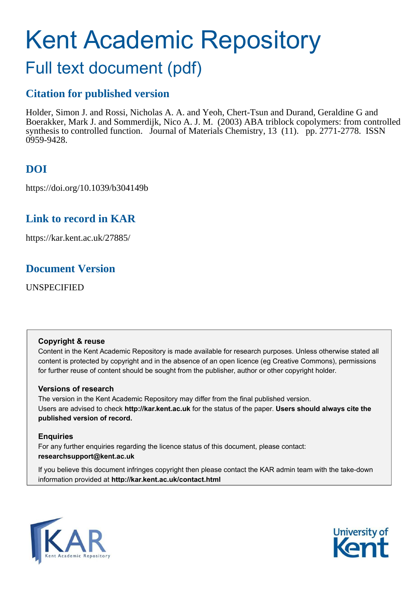# Kent Academic Repository

# Full text document (pdf)

# **Citation for published version**

Holder, Simon J. and Rossi, Nicholas A. A. and Yeoh, Chert-Tsun and Durand, Geraldine G and Boerakker, Mark J. and Sommerdijk, Nico A. J. M. (2003) ABA triblock copolymers: from controlled synthesis to controlled function. Journal of Materials Chemistry, 13 (11). pp. 2771-2778. ISSN 0959-9428.

# **DOI**

https://doi.org/10.1039/b304149b

## **Link to record in KAR**

https://kar.kent.ac.uk/27885/

## **Document Version**

UNSPECIFIED

## **Copyright & reuse**

Content in the Kent Academic Repository is made available for research purposes. Unless otherwise stated all content is protected by copyright and in the absence of an open licence (eg Creative Commons), permissions for further reuse of content should be sought from the publisher, author or other copyright holder.

## **Versions of research**

The version in the Kent Academic Repository may differ from the final published version. Users are advised to check **http://kar.kent.ac.uk** for the status of the paper. **Users should always cite the published version of record.**

## **Enquiries**

For any further enquiries regarding the licence status of this document, please contact: **researchsupport@kent.ac.uk**

If you believe this document infringes copyright then please contact the KAR admin team with the take-down information provided at **http://kar.kent.ac.uk/contact.html**



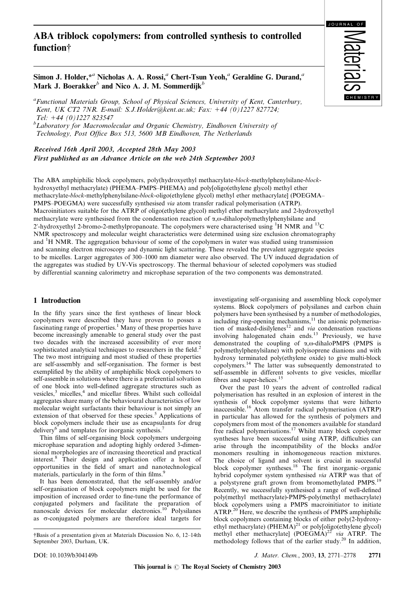## ABA triblock copolymers: from controlled synthesis to controlled function<sup>†</sup>

**JOURNAL** 

Simon J. Holder,<sup>\**a*</sup> Nicholas A. A. Rossi,<sup>*a*</sup> Chert-Tsun Yeoh,<sup>*a*</sup> Geraldine G. Durand,<sup>*a*</sup> Mark J. Boerakker*<sup>b</sup>* and Nico A. J. M. Sommerdijk*<sup>b</sup>*

*a Functional Materials Group, School of Physical Sciences, University of Kent, Canterbury, Kent, UK CT2 7NR. E-mail: S.J.Holder@kent.ac.uk; Fax:* 1*44 (0)1227 827724; Tel:* 1*44 (0)1227 823547*

*<sup>b</sup>Laboratory for Macromolecular and Organic Chemistry, Eindhoven University of Technology, Post Office Box 513, 5600 MB Eindhoven, The Netherlands*

Received 16th April 2003, Accepted 28th May 2003 First published as an Advance Article on the web 24th September 2003

The ABA amphiphilic block copolymers, poly(hydroxyethyl methacrylate-*block*-methylphenylsilane-*block*hydroxyethyl methacrylate) (PHEMA–PMPS–PHEMA) and poly[oligo(ethylene glycol) methyl ether methacrylate-*block*-methylphenylsilane-*block*-oligo(ethylene glycol) methyl ether methacrylate] (POEGMA– PMPS–POEGMA) were successfully synthesised *via* atom transfer radical polymerisation (ATRP). Macroinitiators suitable for the ATRP of oligo(ethylene glycol) methyl ether methacrylate and 2-hydroxyethyl methacrylate were synthesised from the condensation reaction of  $\alpha$ , $\omega$ -dihalopolymethylphenylsilane and 2'-hydroxyethyl 2-bromo-2-methylpropanoate. The copolymers were characterised using <sup>1</sup>H NMR and <sup>13</sup>C NMR spectroscopy and molecular weight characteristics were determined using size exclusion chromatography and <sup>1</sup>H NMR. The aggregation behaviour of some of the copolymers in water was studied using transmission and scanning electron microscopy and dynamic light scattering. These revealed the prevalent aggregate species to be micelles. Larger aggregates of 300–1000 nm diameter were also observed. The UV induced degradation of the aggregates was studied by UV-Vis spectroscopy. The thermal behaviour of selected copolymers was studied by differential scanning calorimetry and microphase separation of the two components was demonstrated.

#### 1 Introduction

In the fifty years since the first syntheses of linear block copolymers were described they have proven to posses a fascinating range of properties.<sup>1</sup> Many of these properties have become increasingly amenable to general study over the past two decades with the increased accessibility of ever more sophisticated analytical techniques to researchers in the field.<sup>2</sup> The two most intriguing and most studied of these properties are self-assembly and self-organisation. The former is best exemplified by the ability of amphiphilic block copolymers to self-assemble in solutions where there is a preferential solvation of one block into well-defined aggregate structures such as vesicles,<sup>3</sup> micelles,<sup>4</sup> and micellar fibres. Whilst such colloidal aggregates share many of the behavioural characteristics of low molecular weight surfactants their behaviour is not simply an extension of that observed for these species.<sup>5</sup> Applications of block copolymers include their use as encapsulants for drug delivery<sup>6</sup> and templates for inorganic synthesis.<sup>7</sup>

Thin films of self-organising block copolymers undergoing microphase separation and adopting highly ordered 3-dimensional morphologies are of increasing theoretical and practical interest.<sup>8</sup> Their design and application offer a host of opportunities in the field of smart and nanotechnological materials, particularly in the form of thin films.<sup>9</sup>

It has been demonstrated, that the self-assembly and/or self-organisation of block copolymers might be used for the imposition of increased order to fine-tune the performance of conjugated polymers and facilitate the preparation of nanoscale devices for molecular electronics.<sup>10</sup> Polysilanes as  $\sigma$ -conjugated polymers are therefore ideal targets for

investigating self-organising and assembling block copolymer systems. Block copolymers of polysilanes and carbon chain polymers have been synthesised by a number of methodologies,  $including ring-opening mechanisms, <sup>11</sup> the anionic polymerisa$ tion of masked-disilylenes<sup>12</sup> and *via* condensation reactions involving halogenated chain ends.<sup>13</sup> Previously, we have demonstrated the coupling of  $\alpha, \omega$ -dihaloPMPS (PMPS is polymethylphenylsilane) with polyisoprene dianions and with hydroxy terminated poly(ethylene oxide) to give multi-block copolymers.<sup>14</sup> The latter was subsequently demonstrated to self-assemble in different solvents to give vesicles, micellar fibres and super-helices.<sup>15</sup>

Over the past 10 years the advent of controlled radical polymerisation has resulted in an explosion of interest in the synthesis of block copolymer systems that were hitherto inaccessible.<sup>16</sup> Atom transfer radical polymerisation (ATRP) in particular has allowed for the synthesis of polymers and copolymers from most of the monomers available for standard free radical polymerisations.<sup>17</sup> Whilst many block copolymer syntheses have been successful using ATRP, difficulties can arise through the incompatibility of the blocks and/or monomers resulting in inhomogeneous reaction mixtures. The choice of ligand and solvent is crucial in successful block copolymer syntheses.<sup>18</sup> The first inorganic–organic hybrid copolymer system synthesised *via* ATRP was that of a polystyrene graft grown from bromomethylated PMPS.<sup>19</sup> Recently, we successfully synthesised a range of well-defined poly(methyl methacrylate)-PMPS-poly(methyl methacrylate) block copolymers using a PMPS macroinitiator to initiate ATRP.<sup>20</sup> Here, we describe the synthesis of PMPS amphiphilic block copolymers containing blocks of either poly(2-hydroxyethyl methacrylate) (PHEMA)<sup>21</sup> or poly[oligo(ethylene glycol) methyl ether methacrylate] (POEGMA)<sup>22</sup> *via* ATRP. The methodology follows that of the earlier study.<sup>20</sup> In addition,

<sup>{</sup>Basis of a presentation given at Materials Discussion No. 6, 12–14th September 2003, Durham, UK.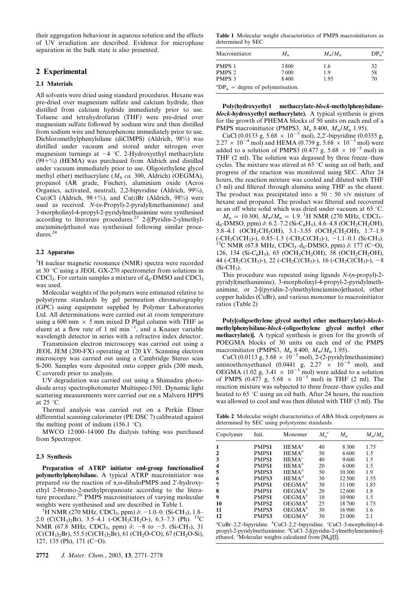their aggregation behaviour in aqueous solution and the effects of UV irradiation are described. Evidence for microphase separation in the bulk state is also presented.

#### 2 Experimental

#### 2.1 Materials

All solvents were dried using standard procedures. Hexane was pre-dried over magnesium sulfate and calcium hydride, then distilled from calcium hydride immediately prior to use. Toluene and tetrahydrofuran (THF) were pre-dried over magnesium sulfate followed by sodium wire and then distilled from sodium wire and benzophenone immediately prior to use. Dichloromethylphenylsilane (diClMPS) (Aldrich, 98%) was distilled under vacuum and stored under nitrogen over magnesium turnings at  $-4$  °C. 2-Hydroxyethyl methacrylate  $(99 + %)$  (HEMA) was purchased from Aldrich and distilled under vacuum immediately prior to use. Oligo(ethylene glycol methyl ether) methacrylate (*M*<sup>n</sup> *ca.* 300, Aldrich) (OEGMA), propanol (AR grade, Fischer), aluminium oxide (Acros Organics, activated, neutral), 2,2-bipyridine (Aldrich, 99%), Cu(I)Cl (Aldrich,  $98 + %$ ), and Cu(I)Br (Aldrich,  $98\%$ ) were used as received. *N*-(*n*-Propyl)-2-pyridyl(methanimine) and 3-morpholinyl-4-propyl-2-pyridylmethanimine were synthesised according to literature procedures.<sup>23</sup> 2-[(Pyridin-2-ylmethylene)amino]ethanol was synthesised following similar procedures.<sup>24</sup>

#### 2.2 Apparatus

<sup>1</sup>H nuclear magnetic resonance (NMR) spectra were recorded at 30  $\degree$ C using a JEOL GX-270 spectrometer from solutions in CDCl<sub>3</sub>. For certain samples a mixture of  $d_6$ -DMSO and CDCl<sub>3</sub> was used.

Molecular weights of the polymers were estimated relative to polystyrene standards by gel permeation chromatography (GPC) using equipment supplied by Polymer Laboratories Ltd. All determinations were carried out at room temperature using a 600 mm  $\times$  5 mm mixed D Plgel column with THF as eluent at a flow rate of  $1 \text{ ml min}^{-1}$ , and a Knauer variable wavelength detector in series with a refractive index detector.

Transmission electron microscopy was carried out using a JEOL JEM (200-FX) operating at 120 kV. Scanning electron microscopy was carried out using a Cambridge Stereo scan S-200. Samples were deposited onto copper grids (200 mesh, C covered) prior to analysis.

UV degradation was carried out using a Shimadzu photodiode array spectrophotometer Multispec-1501. Dynamic light scattering measurements were carried out on a Malvern HPPS at 25 $\degree$ C.

Thermal analysis was carried out on a Perkin Elmer differential scanning calorimeter (PE DSC 7) calibrated against the melting point of indium (156.1  $\degree$ C).

MWCO 12 000–14 000 Da dialysis tubing was purchased from Spectrapor.

#### 2.3 Synthesis

Preparation of ATRP initiator end-group functionalised polymethylphenylsilane. A typical ATRP macroinitiator was prepared *via* the reaction of  $\alpha$ , $\omega$ -dihaloPMPS and 2'-hydroxyethyl 2-bromo-2-methylpropanoate according to the literature procedure.<sup>20</sup> PMPS macroinitiators of varying molecular weights were synthesised and are described in Table 1.

<sup>1</sup>H NMR (270 MHz, CDCl<sub>3</sub>, ppm)  $\delta$ : -1.0–0. (Si-CH<sub>3</sub>), 1.8– 2.0 (C(CH<sub>3</sub>)<sub>2</sub>Br), 3.5–4.1 (-OCH<sub>2</sub>CH<sub>2</sub>O-), 6.3–7.3 (Ph). <sup>13</sup>C NMR (67.8 MHz, CDCl<sub>3</sub>, ppm)  $\delta$ : -8 to -5. (Si-CH<sub>3</sub>), 31  $(C(CH<sub>3</sub>)<sub>2</sub>Br)$ , 55.5 (C(CH<sub>3</sub>)<sub>2</sub>Br), 61 (CH<sub>2</sub>O-CO), 67 (CH<sub>2</sub>O-Si),  $127, 135$  (Ph),  $171$  (C=O).

Table 1 Molecular weight characteristics of PMPS macroinitiators as determined by SEC

| Macroinitiator                                | $M_{\rm n}$ | $M_{\rm w}/M_{\rm n}$ | $DP_n^a$ |  |
|-----------------------------------------------|-------------|-----------------------|----------|--|
| PMPS 1                                        | 3800        | 1.6                   | 32       |  |
| PMPS <sub>2</sub>                             | 7000        | 1.9                   | 58       |  |
| PMPS 3                                        | 8400        | 1.95                  | 70       |  |
| ${}^{\alpha}DP_n$ = degree of polymerisation. |             |                       |          |  |

Poly(hydroxyethyl methacrylate-block-methylphenylsilaneblock-hydroxyethyl methacrylate). A typical synthesis is given for the growth of PHEMA blocks of 50 units on each end of a PMPS macroinitiator (PMPS3,  $M_n$  8 400,  $M_w/M_n$  1.95).

CuCl (0.0133 g,  $5.68 \times 10^{-5}$  mol), 2,2'-bipyridine (0.0355 g,  $2.27 \times 10^{-4}$  mol) and HEMA (0.739 g, 5.68  $\times 10^{-3}$  mol) were added to a solution of PMPS3 (0.477 g,  $5.68 \times 10^{-5}$  mol) in THF (2 ml). The solution was degassed by three freeze–thaw cycles. The mixture was stirred at  $65^{\circ}$ C using an oil bath, and progress of the reaction was monitored using SEC. After 24 hours, the reaction mixture was cooled and diluted with THF (3 ml) and filtered through alumina using THF as the eluent. The product was precipitated into a 50 : 50 v/v mixture of hexane and propanol. The product was filtered and recovered as an off white solid which was dried under vacuum at 65  $°C$ .

 $M_n = 10300$ ,  $M_w/M_n = 1.9$ . <sup>1</sup>H NMR (270 MHz, CDCl<sub>3</sub>– d<sub>6</sub>-DMSO, ppm)  $\delta$ : 6.2–7.2 (Si-C<sub>6</sub>H<sub>5</sub>), 4.6–4.8 (OCH<sub>2</sub>CH<sub>2</sub>OH), 3.8–4.1 (OCH2CH2OH), 3.1–3.55 (OCH2CH2OH), 1.7–1.9  $(-CH_2C(CH_3)$ -), 0.85–1.3 (-CH<sub>2</sub>C(CH<sub>3</sub>)-), -1.1–0.1 (Si-CH<sub>3</sub>). <sup>13</sup>C NMR (67.8 MHz, CDCl<sub>3</sub>-d<sub>6</sub>-DMSO, ppm)  $\delta$ : 177 (C=O), 126, 134 (Si-C<sub>6</sub>H<sub>5</sub>), 65 (OCH<sub>2</sub>CH<sub>2</sub>OH), 58 (OCH<sub>2</sub>CH<sub>2</sub>OH), 44 ( $\text{-CH}_2C(CH_3)$ -), 22 ( $\text{-CH}_2C(CH_3)$ -), 16 ( $\text{-CH}_2C(CH_3)$ -),  $-8$  $(Si$ -CH<sub>3</sub>).

This procedure was repeated using ligands *N*-(*n*-propyl)-2 pyridyl(methanimine), 3-morpholinyl-4-propyl-2-pyridylmethanimine, or 2-[(pyridin-2-ylmethylene)amino]ethanol, other copper halides (CuBr), and various monomer to macroinitiator ratios (Table 2)

Poly[(oligoethylene glycol methyl ether methacrylate)-blockmethylphenylsilane-block-(oligoethylene glycol methyl ether methacrylate)]. A typical synthesis is given for the growth of POEGMA blocks of 30 units on each end of the PMPS macroinitiator (PMPS3,  $M_n$  8 400,  $M_w/M_n$  1.95).

CuCl (0.0113 g,  $5.68 \times 10^{-5}$  mol), 2-(2-pyridylmethanimine) aminoethoxyethanol (0.0441 g,  $2.27 \times 10^{-4}$  mol), and OEGMA (1.02 g, 3.41  $\times$  10<sup>-3</sup> mol) were added to a solution of PMPS  $(0.477 \text{ g}, 5.68 \times 10^{-5} \text{ mol})$  in THF (2 ml). The reaction mixture was subjected to three freeze–thaw cycles and heated to 65  $\degree$ C using an oil bath. After 24 hours, the reaction was allowed to cool and was then diluted with THF (3 ml). The

Table 2 Molecular weight characteristics of ABA block copolymers as determined by SEC using polystyrene standards

| Copolymer | Init.             | Monomer           | $M_{n}^{\ e}$ | $M_{\rm n}$ | $M_{\rm w}/M_{\rm n}$ |
|-----------|-------------------|-------------------|---------------|-------------|-----------------------|
|           | <b>PMPS1</b>      | HEMA <sup>a</sup> | 40            | 8 300       | 1.75                  |
| 2         | PMPS1             | HEMA <sup>b</sup> | 50            | 6600        | 1.5                   |
| 3         | PMPS1             | HEMA <sup>c</sup> | 40            | 9600        | 15                    |
| 4         | PMPS1             | HEMA <sup>b</sup> | 20            | 6000        | 15                    |
| 5         | PMPS3             | HEMA <sup>b</sup> | 50            | 10 300      | 1.9                   |
| 6         | PMPS3             | HEMA <sup>d</sup> | 30            | 12.500      | 1.55                  |
|           | PMPS1             | $OEGMA^b$         | 30            | 11 100      | 1.85                  |
| 8         | <b>PMPS1</b>      | $OEGMA^b$         | 20            | 12600       | 1.8                   |
| 9         | PMPS1             | $OEGMA^b$         | 10            | 10 900      | 15                    |
| 10        | PMPS <sub>2</sub> | $OEGMA^b$         | 25            | 18700       | 1.75                  |
| 11        | PMPS3             | $OEGMA^b$         | 30            | 16900       | 1.6                   |
| 12        | PMPS3             | $OEGMA^d$         | 30            | 21 000      | 2.1                   |

*<sup>a</sup>*CuBr–2,2'-bipyridine. *<sup>b</sup>*CuCl–2,2'-bipyridine. *<sup>c</sup>*CuCl–3-morpholinyl-4 propyl-2-pyridylmethanimine. *<sup>d</sup>*CuCl–2-[(pyridin-2-ylmethylene)amino] ethanol. <sup> $\epsilon$ </sup>Molecular weights calculated from  $[M_0]/[1]$ .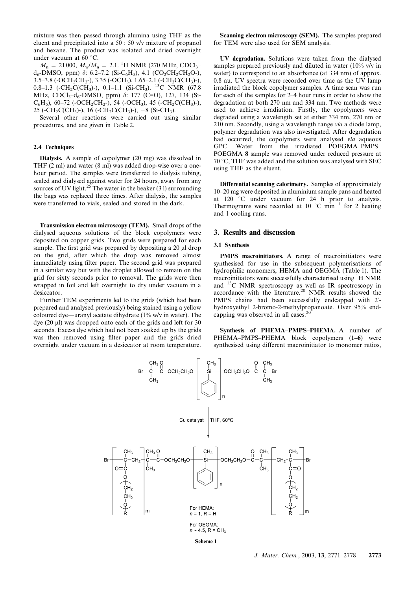mixture was then passed through alumina using THF as the eluent and precipitated into a 50 : 50 v/v mixture of propanol and hexane. The product was isolated and dried overnight under vacuum at 60 $°C$ .

 $M_n = 21000$ ,  $M_w/M_n = 2.1$ . <sup>1</sup>H NMR (270 MHz, CDCl<sub>3</sub>– d<sub>6</sub>-DMSO, ppm)  $\delta$ : 6.2–7.2 (Si-C<sub>6</sub>H<sub>5</sub>), 4.1 (CO<sub>2</sub>CH<sub>2</sub>CH<sub>2</sub>O-), 3.5–3.8 (-OCH<sub>2</sub>CH<sub>2</sub>-), 3.35 (-OCH<sub>3</sub>), 1.65–2.1 (-CH<sub>2</sub>C(CH<sub>3</sub>)-), 0.8–1.3 ( $\text{-CH}_2\text{C}(\text{CH}_3)$ ), 0.1–1.1 (Si-CH<sub>3</sub>). <sup>13</sup>C NMR (67.8) MHz, CDCl<sub>3</sub>-d<sub>6</sub>-DMSO, ppm) δ: 177 (C=O), 127, 134 (Si- $C_6H_5$ ), 60–72 (-OCH<sub>2</sub>CH<sub>2</sub>-), 54 (-OCH<sub>3</sub>), 45 (-CH<sub>2</sub>C(CH<sub>3</sub>)-), 25 (-CH<sub>2</sub>C(CH<sub>3</sub>)-), 16 (-CH<sub>2</sub>C(CH<sub>3</sub>)-), -8 (Si-CH<sub>3</sub>).

Several other reactions were carried out using similar procedures, and are given in Table 2.

#### 2.4 Techniques

Dialysis. A sample of copolymer (20 mg) was dissolved in THF (2 ml) and water (8 ml) was added drop-wise over a onehour period. The samples were transferred to dialysis tubing, sealed and dialysed against water for 24 hours, away from any sources of UV light.<sup>25</sup> The water in the beaker (3 l) surrounding the bags was replaced three times. After dialysis, the samples were transferred to vials, sealed and stored in the dark.

Transmission electron microscopy (TEM). Small drops of the dialysed aqueous solutions of the block copolymers were deposited on copper grids. Two grids were prepared for each sample. The first grid was prepared by depositing a 20 µl drop on the grid, after which the drop was removed almost immediately using filter paper. The second grid was prepared in a similar way but with the droplet allowed to remain on the grid for sixty seconds prior to removal. The grids were then wrapped in foil and left overnight to dry under vacuum in a desiccator.

Further TEM experiments led to the grids (which had been prepared and analysed previously) being stained using a yellow coloured dye—uranyl acetate dihydrate (1% w/v in water). The dye (20  $\mu$ ) was dropped onto each of the grids and left for 30 seconds. Excess dye which had not been soaked up by the grids was then removed using filter paper and the grids dried overnight under vacuum in a desiccator at room temperature.

Scanning electron microscopy (SEM). The samples prepared for TEM were also used for SEM analysis.

UV degradation. Solutions were taken from the dialysed samples prepared previously and diluted in water (10% v/v in water) to correspond to an absorbance (at 334 nm) of approx. 0.8 au. UV spectra were recorded over time as the UV lamp irradiated the block copolymer samples. A time scan was run for each of the samples for 2–4 hour runs in order to show the degradation at both 270 nm and 334 nm. Two methods were used to achieve irradiation. Firstly, the copolymers were degraded using a wavelength set at either 334 nm, 270 nm or 210 nm. Secondly, using a wavelength range *via* a diode lamp, polymer degradation was also investigated. After degradation had occurred, the copolymers were analysed *via* aqueous GPC. Water from the irradiated POEGMA–PMPS– POEGMA 8 sample was removed under reduced pressure at  $70\textdegree$ C, THF was added and the solution was analysed with SEC using THF as the eluent.

Differential scanning calorimetry. Samples of approximately 10–20 mg were deposited in aluminium sample pans and heated at 120  $\degree$ C under vacuum for 24 h prior to analysis. Thermograms were recorded at  $10^{\circ}$ C min<sup>-1</sup> for 2 heating and 1 cooling runs.

#### 3. Results and discussion

#### 3.1 Synthesis

PMPS macroinitiators. A range of macroinitiators were synthesised for use in the subsequent polymerisations of hydrophilic monomers, HEMA and OEGMA (Table 1). The macroinitiators were successfully characterised using  ${}^{1}$ H NMR and <sup>13</sup>C NMR spectroscopy as well as IR spectroscopy in accordance with the literature.<sup>20</sup> NMR results showed the PMPS chains had been successfully endcapped with 2' hydroxyethyl 2-bromo-2-methylpropanoate. Over 95% endcapping was observed in all cases.<sup>2</sup>

Synthesis of PHEMA–PMPS–PHEMA. A number of PHEMA–PMPS–PHEMA block copolymers (1–6) were synthesised using different macroinitiator to monomer ratios,

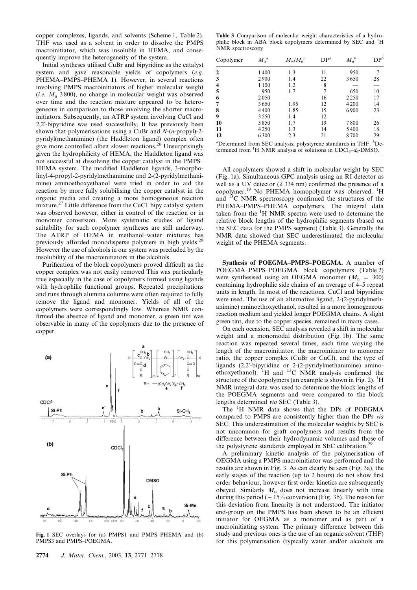copper complexes, ligands, and solvents (Scheme 1, Table 2). THF was used as a solvent in order to dissolve the PMPS macroinitiator, which was insoluble in HEMA, and consequently improve the heterogeneity of the system.

Initial syntheses utilised CuBr and bipyridine as the catalyst system and gave reasonable yields of copolymers (*e.g.* PHEMA–PMPS–PHEMA 1). However, in several reactions involving PMPS macroinitiators of higher molecular weight (*i.e.*  $M_n$  3800), no change in molecular weight was observed over time and the reaction mixture appeared to be heterogeneous in comparison to those involving the shorter macroinitiators. Subsequently, an ATRP system involving CuCl and 2,2'-bipyridine was used successfully. It has previously been shown that polymerisations using a CuBr and *N*-(*n*-propyl)-2 pyridyl(methanimine) (the Haddleton ligand) complex often give more controlled albeit slower reactions.<sup>26</sup> Unsurprisingly given the hydrophilicity of HEMA, the Haddleton ligand was not successful at dissolving the copper catalyst in the PMPS– HEMA system. The modified Haddleton ligands, 3-morpholinyl-4-propyl-2-pyridylmethanimine and 2-(2-pyridylmethanimine) aminoethoxyethanol were tried in order to aid the reaction by more fully solubilising the copper catalyst in the organic media and creating a more homogeneous reaction mixture.<sup>27</sup> Little difference from the CuCl–bipy catalyst system was observed however, either in control of the reaction or in monomer conversion. More systematic studies of ligand suitability for such copolymer syntheses are still underway. The ATRP of HEMA in methanol–water mixtures has previously afforded monodisperse polymers in high yields.<sup>28</sup> However the use of alcohols in our system was precluded by the insolubility of the macroinitiators in the alcohols.

Purification of the block copolymers proved difficult as the copper complex was not easily removed This was particularly true especially in the case of copolymers formed using ligands with hydrophilic functional groups. Repeated precipitations and runs through alumina columns were often required to fully remove the ligand and monomer. Yields of all of the copolymers were correspondingly low. Whereas NMR confirmed the absence of ligand and monomer, a green tint was observable in many of the copolymers due to the presence of copper.

 $(a)$ **CDC<sup>3</sup>** Si-Ph Si-CH<sub>3</sub> ppy  $(b)$ CDC Si-Ph **DMSO** Si-Me

Fig. 1 SEC overlays for (a) PMPS1 and PMPS–PHEMA and (b) PMPS3 and PMPS-POEGMA.

Table 3 Comparison of molecular weight characteristics of a hydrophilic block in ABA block copolymers determined by SEC and <sup>1</sup>H NMR spectroscopy

| Copolymer                                                                                                                                                                           | $M_n^a$ | $M_{\rm w}/M_{\rm n}^{\;a}$ | $DP^a$ | $M_{n}^{b}$ | DP <sup>b</sup> |
|-------------------------------------------------------------------------------------------------------------------------------------------------------------------------------------|---------|-----------------------------|--------|-------------|-----------------|
| 2                                                                                                                                                                                   | 1400    | 1.3                         | 11     | 950         | 7               |
| 3                                                                                                                                                                                   | 2900    | 1.4                         | 22     | 3650        | 28              |
| 4                                                                                                                                                                                   | 1100    | 1.2                         | 8      |             |                 |
| 5                                                                                                                                                                                   | 950     | 1.7                         | 7      | 650         | 10              |
| 6                                                                                                                                                                                   | 2050    |                             | 16     | 2250        | 17              |
| 7                                                                                                                                                                                   | 3650    | 1.95                        | 12     | 4200        | 14              |
| 8                                                                                                                                                                                   | 4400    | 1.85                        | 15     | 6900        | 23              |
| 9                                                                                                                                                                                   | 3550    | 1.4                         | 12     |             |                 |
| 10                                                                                                                                                                                  | 5850    | 1.7                         | 19     | 7800        | 26              |
| 11                                                                                                                                                                                  | 4250    | 13                          | 14     | 5400        | 18              |
| 12                                                                                                                                                                                  | 6300    | 2.3                         | 21     | 8700        | 29              |
| "Determined from SEC analysis; polystyrene standards in THF. <sup>b</sup> De-<br>termined from <sup>1</sup> H NMR analysis of solutions in CDCl <sub>3</sub> -d <sub>6</sub> -DMSO. |         |                             |        |             |                 |

All copolymers showed a shift in molecular weight by SEC (Fig. 1a). Simultaneous GPC analysis using an RI detector as well as a UV detector ( $\lambda$  334 nm) confirmed the presence of a copolymer.<sup>19</sup> No PHEMA homopolymer was observed.<sup>1</sup>H and <sup>13</sup>C NMR spectroscopy confirmed the structures of the PHEMA–PMPS–PHEMA copolymers. The integral data taken from the  ${}^{1}H$  NMR spectra were used to determine the relative block lengths of the hydrophilic segments (based on the SEC data for the PMPS segment) (Table 3). Generally the NMR data showed that SEC underestimated the molecular weight of the PHEMA segments.

Synthesis of POEGMA–PMPS–POEGMA. A number of POEGMA–PMPS–POEGMA block copolymers (Table 2) were synthesised using an OEGMA monomer  $(M_n = 300)$ containing hydrophilic side chains of an average of 4–5 repeat units in length. In most of the reactions, CuCl and bipyridine were used. The use of an alternative ligand, 2-(2-pyridylmethanimine) aminoethoxyethanol, resulted in a more homogeneous reaction medium and yielded longer POEGMA chains. A slight green tint, due to the copper species, remained in many cases.

On each occasion, SEC analysis revealed a shift in molecular weight and a monomodal distribution (Fig. 1b). The same reaction was repeated several times, each time varying the length of the macroinitiator, the macroinitiator to monomer ratio, the copper complex (CuBr or CuCl), and the type of ligands (2,2'-bipyridine or 2-(2-pyridylmethanimine) aminoethoxyethanol).  ${}^{1}$ H and  ${}^{13}$ C NMR analysis confirmed the structure of the copolymers (an example is shown in Fig. 2).  $\rm ^1H$ NMR integral data was used to determine the block lengths of the POEGMA segments and were compared to the block lengths determined *via* SEC (Table 3).

The <sup>1</sup>H NMR data shows that the DPs of POEGMA compared to PMPS are consistently higher than the DPs *via* SEC. This underestimation of the molecular weights by SEC is not uncommon for graft copolymers and results from the difference between their hydrodynamic volumes and those of the polystyrene standards employed in SEC calibration.<sup>29</sup>

A preliminary kinetic analysis of the polymerisation of OEGMA using a PMPS macroinitiator was performed and the results are shown in Fig. 3. As can clearly be seen (Fig. 3a), the early stages of the reaction (up to 2 hours) do not show first order behaviour, however first order kinetics are subsequently obeyed. Similarly *M*<sup>n</sup> does not increase linearly with time during this period ( $\sim$  15% conversion) (Fig. 3b). The reason for this deviation from linearity is not understood. The initiator end-group on the PMPS has been shown to be an efficient initiator for OEGMA as a monomer and as part of a macroinitiating system. The primary difference between this study and previous ones is the use of an organic solvent (THF) for this polymerisation (typically water and/or alcohols are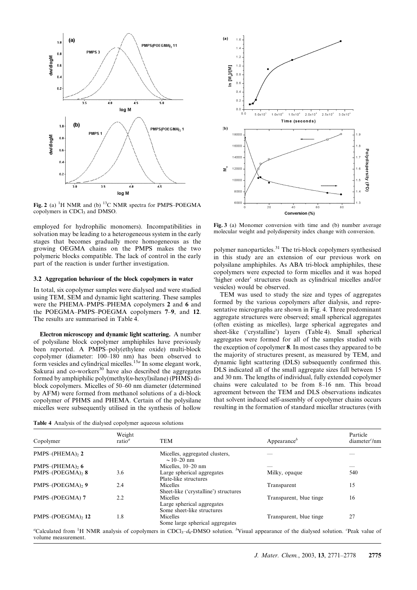

Fig. 2 (a) <sup>1</sup>H NMR and (b) <sup>13</sup>C NMR spectra for PMPS–POEGMA copolymers in CDCl<sub>3</sub> and DMSO.

employed for hydrophilic monomers). Incompatibilities in solvation may be leading to a heterogeneous system in the early stages that becomes gradually more homogeneous as the growing OEGMA chains on the PMPS makes the two polymeric blocks compatible. The lack of control in the early part of the reaction is under further investigation.

#### 3.2 Aggregation behaviour of the block copolymers in water

In total, six copolymer samples were dialysed and were studied using TEM, SEM and dynamic light scattering. These samples were the PHEMA–PMPS–PHEMA copolymers 2 and 6 and the POEGMA–PMPS–POEGMA copolymers 7–9, and 12. The results are summarised in Table 4.

Electron microscopy and dynamic light scattering. A number of polysilane block copolymer amphiphiles have previously been reported. A PMPS–poly(ethylene oxide) multi-block copolymer (diameter: 100–180 nm) has been observed to form vesicles and cylindrical micelles.<sup>15a</sup> In some elegant work, Sakurai and  $\cos$ -workers<sup>30</sup> have also described the aggregates formed by amphiphilic poly(methyl(*n*-hexyl)silane) (PHMS) diblock copolymers. Micelles of 50–60 nm diameter (determined by AFM) were formed from methanol solutions of a di-block copolymer of PHMS and PHEMA. Certain of the polysilane micelles were subsequently utilised in the synthesis of hollow



Fig. 3 (a) Monomer conversion with time and (b) number average molecular weight and polydispersity index change with conversion.

polymer nanoparticles.<sup>31</sup> The tri-block copolymers synthesised in this study are an extension of our previous work on polysilane amphiphiles. As ABA tri-block amphiphiles, these copolymers were expected to form micelles and it was hoped 'higher order' structures (such as cylindrical micelles and/or vesicles) would be observed.

TEM was used to study the size and types of aggregates formed by the various copolymers after dialysis, and representative micrographs are shown in Fig. 4. Three predominant aggregate structures were observed; small spherical aggregates (often existing as micelles), large spherical aggregates and sheet-like ('crystalline') layers (Table 4). Small spherical aggregates were formed for all of the samples studied with the exception of copolymer 8. In most cases they appeared to be the majority of structures present, as measured by TEM, and dynamic light scattering (DLS) subsequently confirmed this. DLS indicated all of the small aggregate sizes fall between 15 and 30 nm. The lengths of individual, fully extended copolymer chains were calculated to be from 8–16 nm. This broad agreement between the TEM and DLS observations indicates that solvent induced self-assembly of copolymer chains occurs resulting in the formation of standard micellar structures (with

Table 4 Analysis of the dialysed copolymer aqueous solutions

| Copolymer          | Weight<br>$ratio^a$ | <b>TEM</b>                                                           | Appearance $\theta$     | Particle<br>diameter <sup><math>c</math></sup> /nm |
|--------------------|---------------------|----------------------------------------------------------------------|-------------------------|----------------------------------------------------|
| $PMPS$ -(PHEMA), 2 |                     | Micelles, aggregated clusters,<br>$\sim$ 10–20 nm                    |                         |                                                    |
| $PMPS$ –(PHEMA), 6 |                     | Micelles, $10-20$ nm                                                 |                         | _                                                  |
| PMPS-(POEGMA), 8   | 3.6                 | Large spherical aggregates<br>Plate-like structures                  | Milky, opaque           | 540                                                |
| PMPS-(POEGMA), 9   | 2.4                 | Micelles<br>Sheet-like ('crystalline') structures                    | Transparent             | 15                                                 |
| PMPS-(POEGMA) 7    | 2.2                 | Micelles<br>Large spherical aggregates<br>Some sheet-like structures | Transparent, blue tinge | 16                                                 |
| PMPS-(POEGMA), 12  | 1.8                 | Micelles<br>Some large spherical aggregates                          | Transparent, blue tinge | 27                                                 |

<sup>a</sup>Calculated from <sup>1</sup>H NMR analysis of copolymers in CDCl<sub>3</sub>–*d*<sub>6</sub>-DMSO solution. <sup>*b*</sup>Visual appearance of the dialysed solution. <sup>*c*</sup>Peak value of volume measurement.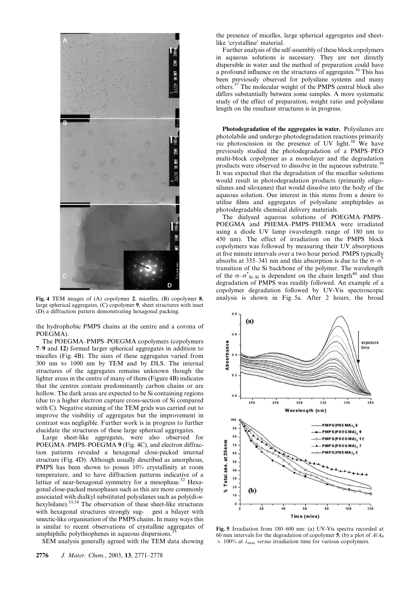

large spherical aggregates, (C) copolymer 9, sheet structures with inset (D) a diffraction pattern demonstrating hexagonal packing.

the hydrophobic PMPS chains at the centre and a corona of POEGMA).

The POEGMA–PMPS–POEGMA copolymers (copolymers 7–9 and 12) formed larger spherical aggregates in addition to micelles (Fig. 4B). The sizes of these aggregates varied from 300 nm to 1000 nm by TEM and by DLS. The internal structures of the aggregates remains unknown though the lighter areas in the centre of many of them (Figure 4B) indicates that the centres contain predominantly carbon chains or are hollow. The dark areas are expected to be Si containing regions (due to a higher electron capture cross-section of Si compared with C). Negative staining of the TEM grids was carried out to improve the visibility of aggregates but the improvement in contrast was negligible. Further work is in progress to further elucidate the structures of these large spherical aggregates.

Large sheet-like aggregates, were also observed for POEGMA–PMPS–POEGMA 9 (Fig. 4C), and electron diffraction patterns revealed a hexagonal close-packed internal structure (Fig. 4D). Although usually described as amorphous, PMPS has been shown to posses 10% crystallinity at room temperature, and to have diffraction patterns indicative of a lattice of near-hexagonal symmetry for a mesophase.<sup>32</sup> Hexagonal close-packed mesophases such as this are more commonly associated with dialkyl substituted polysilanes such as poly(di-*n*hexylsilane).<sup>33,34</sup> The observation of these sheet-like structures with hexagonal structures strongly sug- gest a bilayer with smectic-like organisation of the PMPS chains. In many ways this is similar to recent observations of crystalline aggregates of amphiphilic polythiophenes in aqueous dispersions.<sup>3</sup>

SEM analysis generally agreed with the TEM data showing

the presence of micelles, large spherical aggregates and sheetlike 'crystalline' material.

Further analysis of the self-assembly of these block copolymers in aqueous solutions is necessary. They are not directly dispersible in water and the method of preparation could have a profound influence on the structures of aggregates.<sup>36</sup> This has been previously observed for polysilane systems and many others.<sup>37</sup> The molecular weight of the PMPS central block also differs substantially between some samples. A more systematic study of the effect of preparation, weight ratio and polysilane length on the resultant structures is in progress.

Photodegradation of the aggregates in water. Polysilanes are photolabile and undergo photodegradation reactions primarily *via* photoscission in the presence of UV light.<sup>38</sup> We have previously studied the photodegradation of a PMPS–PEO multi-block copolymer as a monolayer and the degradation products were observed to dissolve in the aqueous substrate.<sup>3</sup> It was expected that the degradation of the micellar solutions would result in photodegradation products (primarily oligosilanes and siloxanes) that would dissolve into the body of the aqueous solution. Our interest in this stems from a desire to utilise films and aggregates of polysilane amphiphiles as photodegradable chemical delivery materials.

The dialysed aqueous solutions of POEGMA–PMPS– POEGMA and PHEMA–PMPS–PHEMA were irradiated using a diode UV lamp (wavelength range of 180 nm to 450 nm). The effect of irradiation on the PMPS block copolymers was followed by measuring their UV absorptions at five minute intervals over a two hour period. PMPS typically absorbs at 335–341 nm and this absorption is due to the  $\sigma$ – $\sigma^*$ transition of the Si backbone of the polymer. The wavelength of the  $\sigma-\sigma^*_{Si-Si}$  is dependent on the chain length<sup>40</sup> and thus degradation of PMPS was readily followed. An example of a copolymer degradation followed by UV-Vis spectroscopic Fig. 4 TEM images of (A) copolymer 2, micelles, (B) copolymer 8, analysis is shown in Fig. 5a. After 2 hours, the broad



Fig. 5 Irradiation from 180–600 nm: (a) UV-Vis spectra recorded at 60 min intervals for the degradation of copolymer  $\overline{5}$ ; (b) a plot of  $A/A<sub>0</sub>$  $\times$  100% at  $\lambda_{\text{max}}$  *versus* irradiation time for various copolymers.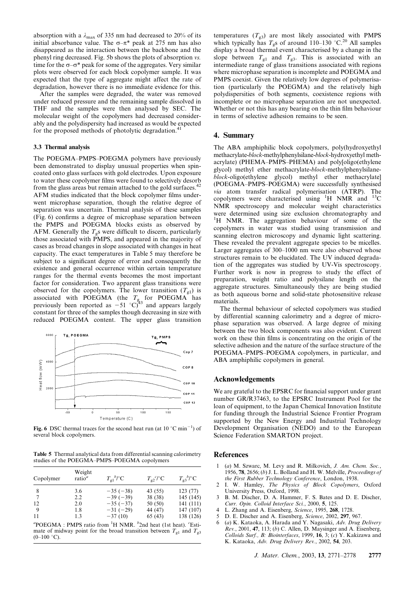absorption with a  $\lambda_{\text{max}}$  of 335 nm had decreased to 20% of its initial absorbance value. The  $\sigma-\pi^*$  peak at 275 nm has also disappeared as the interaction between the backbone and the phenyl ring decreased. Fig. 5b shows the plots of absorption *vs.* time for the  $\sigma$ – $\sigma$ <sup>\*</sup> peak for some of the aggregates. Very similar plots were observed for each block copolymer sample. It was expected that the type of aggregate might affect the rate of degradation, however there is no immediate evidence for this.

After the samples were degraded, the water was removed under reduced pressure and the remaining sample dissolved in THF and the samples were then analysed by SEC. The molecular weight of the copolymers had decreased considerably and the polydispersity had increased as would be expected for the proposed methods of photolytic degradation.<sup>41</sup>

#### 3.3 Thermal analysis

The POEGMA–PMPS–POEGMA polymers have previously been demonstrated to display unusual properties when spincoated onto glass surfaces with gold electrodes. Upon exposure to water these copolymer films were found to selectively desorb from the glass areas but remain attached to the gold surfaces.<sup>42</sup> AFM studies indicated that the block copolymer films underwent microphase separation, though the relative degree of separation was uncertain. Thermal analysis of these samples (Fig. 6) confirms a degree of microphase separation between the PMPS and POEGMA blocks exists as observed by AFM. Generally the  $T_{g}$ s were difficult to discern, particularly those associated with PMPS, and appeared in the majority of cases as broad changes in slope associated with changes in heat capacity. The exact temperatures in Table 5 may therefore be subject to a significant degree of error and consequently the existence and general occurrence within certain temperature ranges for the thermal events becomes the most important factor for consideration. Two apparent glass transitions were observed for the copolymers. The lower transition  $(T_{gl})$  is associated with POEGMA (the *T*<sup>g</sup> for POEGMA has previously been reported as  $-51$  °C)<sup>43</sup> and appears largely constant for three of the samples though decreasing in size with reduced POEGMA content. The upper glass transition



Fig. 6 DSC thermal traces for the second heat run (at  $10^{\circ}$ C min<sup>-1</sup>) of several block copolymers.

Table 5 Thermal analytical data from differential scanning calorimetry studies of the POEGMA–PMPS–POEGMA copolymers

| Copolymer | Weight<br>ratio <sup>a</sup> | $T_{\rm gl}{}^b/{}^{\circ}C$ | $T_{g2}^{\ c}$ /°C | $T_{\rm g}S^b/{}^{\circ}C$ |
|-----------|------------------------------|------------------------------|--------------------|----------------------------|
| 8         | 3.6                          | $-35(-38)$                   | 43 (55)            | 123(77)                    |
|           | 2.2                          | $-39(-39)$                   | 38 (38)            | 145 (145)                  |
| 12        | 2.0                          | $-35(-37)$                   | 50 (50)            | 141(111)                   |
| 9         | 1.8                          | $-31(-29)$                   | 44 (47)            | 147 (107)                  |
| -11       | 1.3                          | $-37(10)$                    | 65 (43)            | 138 (126)                  |
|           |                              |                              |                    |                            |

<sup>a</sup>POEGMA : PMPS ratio from <sup>1</sup>H NMR. <sup>*b*</sup>2nd heat (1st heat). <sup>*c*</sup>Estimate of midway point for the broad transition between  $T_{g1}$  and  $T_{g3}$  $(0-100 °C)$ .

temperatures  $(T_{g3})$  are most likely associated with PMPS which typically has  $T_g$ s of around 110–130 °C.<sup>20</sup> All samples display a broad thermal event characterised by a change in the slope between  $T_{g1}$  and  $T_{g3}$ . This is associated with an intermediate range of glass transitions associated with regions where microphase separation is incomplete and POEGMA and PMPS coexist. Given the relatively low degrees of polymerisation (particularly the POEGMA) and the relatively high polydispersities of both segments, coexistence regions with incomplete or no microphase separation are not unexpected. Whether or not this has any bearing on the thin film behaviour in terms of selective adhesion remains to be seen.

#### 4. Summary

The ABA amphiphilic block copolymers, poly(hydroxyethyl methacrylate-*block*-methylphenylsilane-*block*-hydroxyethyl methacrylate) (PHEMA–PMPS–PHEMA) and poly[oligo(ethylene glycol) methyl ether methacrylate-*block*-methylphenylsilane*block*-oligo(ethylene glycol) methyl ether methacrylate] (POEGMA–PMPS–POEGMA) were successfully synthesised *via* atom transfer radical polymerisation (ATRP). The copolymers were characterised using  ${}^{1}H$  NMR and  ${}^{13}C$ NMR spectroscopy and molecular weight characteristics were determined using size exclusion chromatography and <sup>1</sup>H NMR. The aggregation behaviour of some of the copolymers in water was studied using transmission and scanning electron microscopy and dynamic light scattering. These revealed the prevalent aggregate species to be micelles. Larger aggregates of 300–1000 nm were also observed whose structures remain to be elucidated. The UV induced degradation of the aggregates was studied by UV-Vis spectroscopy. Further work is now in progress to study the effect of preparation, weight ratio and polysilane length on the aggregate structures. Simultaneously they are being studied as both aqueous borne and solid-state photosensitive release materials.

The thermal behaviour of selected copolymers was studied by differential scanning calorimetry and a degree of microphase separation was observed. A large degree of mixing between the two block components was also evident. Current work on these thin films is concentrating on the origin of the selective adhesion and the nature of the surface structure of the POEGMA–PMPS–POEGMA copolymers, in particular, and ABA amphiphilic copolymers in general.

#### Acknowledgements

We are grateful to the EPSRC for financial support under grant number GR/R37463, to the EPSRC Instrument Pool for the loan of equipment, to the Japan Chemical Innovation Institute for funding through the Industrial Science Frontier Program supported by the New Energy and Industrial Technology Development Organisation (NEDO) and to the European Science Federation SMARTON project.

#### **References**

- 1 (*a*) M. Szwarc, M. Levy and R. Milkovich, *J. Am. Chem. Soc.*, 1956, 78, 2656; (*b*) J. L. Bolland and H. W. Melville, *Proceedings of the First Rubber Technology Conference*, London, 1938.
- 2 I. W. Hamley, *The Physics of Block Copolymers*, Oxford University Press, Oxford, 1998.
- 3 B. M. Discher, D. A. Hammer, F. S. Bates and D. E. Discher, *Curr. Opin. Colloid Interface Sci.*, 2000, 5, 125.
- 4 L. Zhang and A. Eisenberg, *Science*, 1995, 268, 1728.
- 5 D. E. Discher and A. Eisenberg, *Science*, 2002, 297, 967.
- 6 (*a*) K. Kataoka, A. Harada and Y. Nagasaki, *Adv. Drug Delivery Rev.*, 2001, 47, 113; (*b*) C. Allen, D. Maysinger and A. Eisenberg, *Colloids Surf., B: Biointerfaces*, 1999, 16, 3; (*c*) Y. Kakizawa and K. Kataoka, *Adv. Drug Delivery Rev.*, 2002, 54, 203.